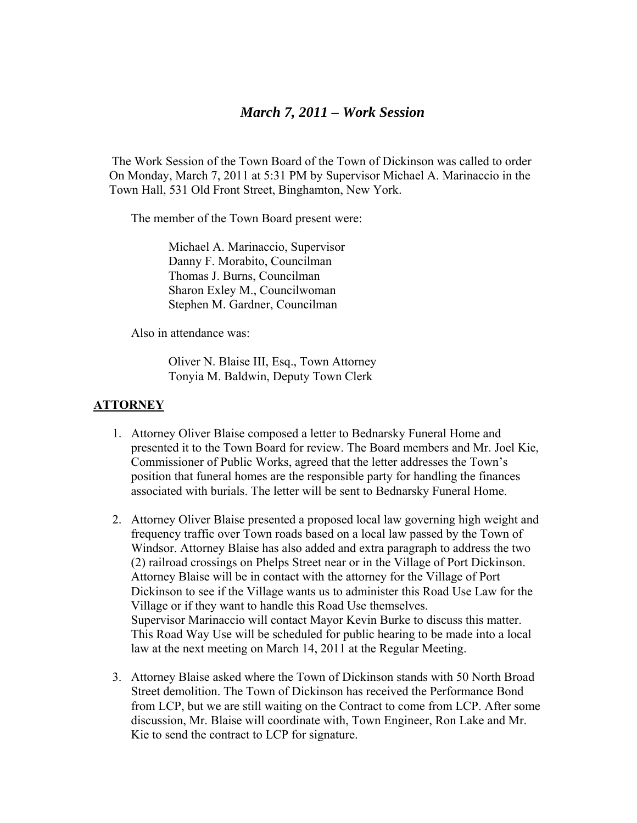## *March 7, 2011 – Work Session*

 The Work Session of the Town Board of the Town of Dickinson was called to order On Monday, March 7, 2011 at 5:31 PM by Supervisor Michael A. Marinaccio in the Town Hall, 531 Old Front Street, Binghamton, New York.

The member of the Town Board present were:

 Michael A. Marinaccio, Supervisor Danny F. Morabito, Councilman Thomas J. Burns, Councilman Sharon Exley M., Councilwoman Stephen M. Gardner, Councilman

Also in attendance was:

 Oliver N. Blaise III, Esq., Town Attorney Tonyia M. Baldwin, Deputy Town Clerk

## **ATTORNEY**

- 1. Attorney Oliver Blaise composed a letter to Bednarsky Funeral Home and presented it to the Town Board for review. The Board members and Mr. Joel Kie, Commissioner of Public Works, agreed that the letter addresses the Town's position that funeral homes are the responsible party for handling the finances associated with burials. The letter will be sent to Bednarsky Funeral Home.
- 2. Attorney Oliver Blaise presented a proposed local law governing high weight and frequency traffic over Town roads based on a local law passed by the Town of Windsor. Attorney Blaise has also added and extra paragraph to address the two (2) railroad crossings on Phelps Street near or in the Village of Port Dickinson. Attorney Blaise will be in contact with the attorney for the Village of Port Dickinson to see if the Village wants us to administer this Road Use Law for the Village or if they want to handle this Road Use themselves. Supervisor Marinaccio will contact Mayor Kevin Burke to discuss this matter. This Road Way Use will be scheduled for public hearing to be made into a local law at the next meeting on March 14, 2011 at the Regular Meeting.
- 3. Attorney Blaise asked where the Town of Dickinson stands with 50 North Broad Street demolition. The Town of Dickinson has received the Performance Bond from LCP, but we are still waiting on the Contract to come from LCP. After some discussion, Mr. Blaise will coordinate with, Town Engineer, Ron Lake and Mr. Kie to send the contract to LCP for signature.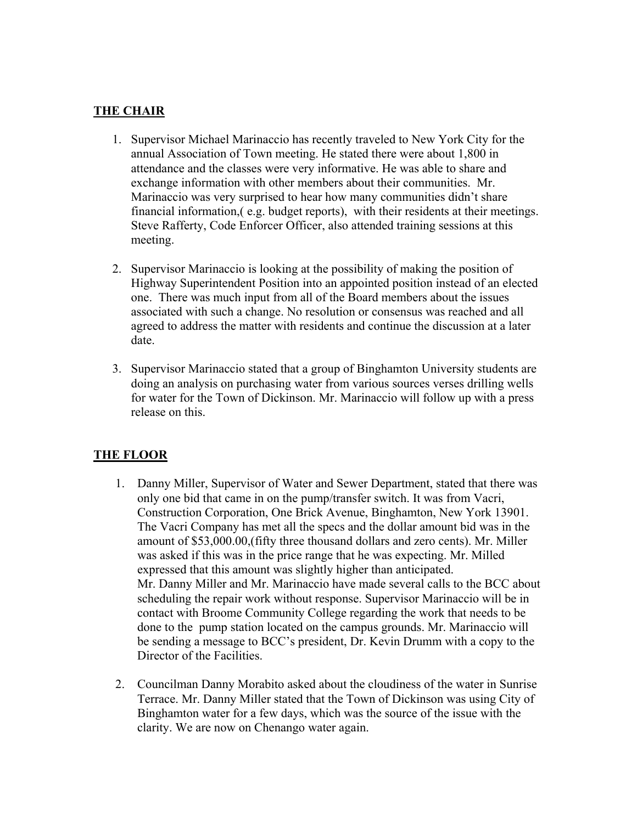## **THE CHAIR**

- 1. Supervisor Michael Marinaccio has recently traveled to New York City for the annual Association of Town meeting. He stated there were about 1,800 in attendance and the classes were very informative. He was able to share and exchange information with other members about their communities. Mr. Marinaccio was very surprised to hear how many communities didn't share financial information,( e.g. budget reports), with their residents at their meetings. Steve Rafferty, Code Enforcer Officer, also attended training sessions at this meeting.
- 2. Supervisor Marinaccio is looking at the possibility of making the position of Highway Superintendent Position into an appointed position instead of an elected one. There was much input from all of the Board members about the issues associated with such a change. No resolution or consensus was reached and all agreed to address the matter with residents and continue the discussion at a later date.
- 3. Supervisor Marinaccio stated that a group of Binghamton University students are doing an analysis on purchasing water from various sources verses drilling wells for water for the Town of Dickinson. Mr. Marinaccio will follow up with a press release on this.

## **THE FLOOR**

- 1. Danny Miller, Supervisor of Water and Sewer Department, stated that there was only one bid that came in on the pump/transfer switch. It was from Vacri, Construction Corporation, One Brick Avenue, Binghamton, New York 13901. The Vacri Company has met all the specs and the dollar amount bid was in the amount of \$53,000.00,(fifty three thousand dollars and zero cents). Mr. Miller was asked if this was in the price range that he was expecting. Mr. Milled expressed that this amount was slightly higher than anticipated. Mr. Danny Miller and Mr. Marinaccio have made several calls to the BCC about scheduling the repair work without response. Supervisor Marinaccio will be in contact with Broome Community College regarding the work that needs to be done to the pump station located on the campus grounds. Mr. Marinaccio will be sending a message to BCC's president, Dr. Kevin Drumm with a copy to the Director of the Facilities.
- 2. Councilman Danny Morabito asked about the cloudiness of the water in Sunrise Terrace. Mr. Danny Miller stated that the Town of Dickinson was using City of Binghamton water for a few days, which was the source of the issue with the clarity. We are now on Chenango water again.